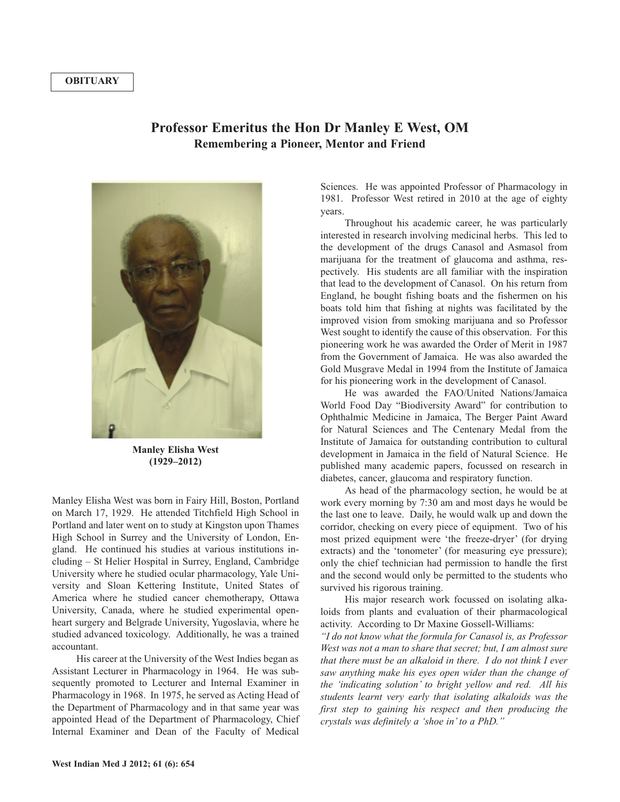## **OBITUARY**

## **Professor Emeritus the Hon Dr Manley E West, OM Remembering a Pioneer, Mentor and Friend**



**Manley Elisha West (1929–2012)**

Manley Elisha West was born in Fairy Hill, Boston, Portland on March 17, 1929. He attended Titchfield High School in Portland and later went on to study at Kingston upon Thames High School in Surrey and the University of London, England. He continued his studies at various institutions including – St Helier Hospital in Surrey, England, Cambridge University where he studied ocular pharmacology, Yale University and Sloan Kettering Institute, United States of America where he studied cancer chemotherapy, Ottawa University, Canada, where he studied experimental openheart surgery and Belgrade University, Yugoslavia, where he studied advanced toxicology. Additionally, he was a trained accountant.

His career at the University of the West Indies began as Assistant Lecturer in Pharmacology in 1964. He was subsequently promoted to Lecturer and Internal Examiner in Pharmacology in 1968. In 1975, he served as Acting Head of the Department of Pharmacology and in that same year was appointed Head of the Department of Pharmacology, Chief Internal Examiner and Dean of the Faculty of Medical

Sciences. He was appointed Professor of Pharmacology in 1981. Professor West retired in 2010 at the age of eighty years.

Throughout his academic career, he was particularly interested in research involving medicinal herbs. This led to the development of the drugs Canasol and Asmasol from marijuana for the treatment of glaucoma and asthma, respectively. His students are all familiar with the inspiration that lead to the development of Canasol. On his return from England, he bought fishing boats and the fishermen on his boats told him that fishing at nights was facilitated by the improved vision from smoking marijuana and so Professor West sought to identify the cause of this observation. For this pioneering work he was awarded the Order of Merit in 1987 from the Government of Jamaica. He was also awarded the Gold Musgrave Medal in 1994 from the Institute of Jamaica for his pioneering work in the development of Canasol.

He was awarded the FAO/United Nations/Jamaica World Food Day "Biodiversity Award" for contribution to Ophthalmic Medicine in Jamaica, The Berger Paint Award for Natural Sciences and The Centenary Medal from the Institute of Jamaica for outstanding contribution to cultural development in Jamaica in the field of Natural Science. He published many academic papers, focussed on research in diabetes, cancer, glaucoma and respiratory function.

As head of the pharmacology section, he would be at work every morning by 7:30 am and most days he would be the last one to leave. Daily, he would walk up and down the corridor, checking on every piece of equipment. Two of his most prized equipment were 'the freeze-dryer' (for drying extracts) and the 'tonometer' (for measuring eye pressure); only the chief technician had permission to handle the first and the second would only be permitted to the students who survived his rigorous training.

His major research work focussed on isolating alkaloids from plants and evaluation of their pharmacological activity. According to Dr Maxine Gossell-Williams:

*"I do not know what the formula for Canasol is, as Professor West was not a man to share that secret; but, I am almost sure that there must be an alkaloid in there. I do not think I ever saw anything make his eyes open wider than the change of the 'indicating solution' to bright yellow and red. All his students learnt very early that isolating alkaloids was the first step to gaining his respect and then producing the crystals was definitely a 'shoe in'to a PhD."*